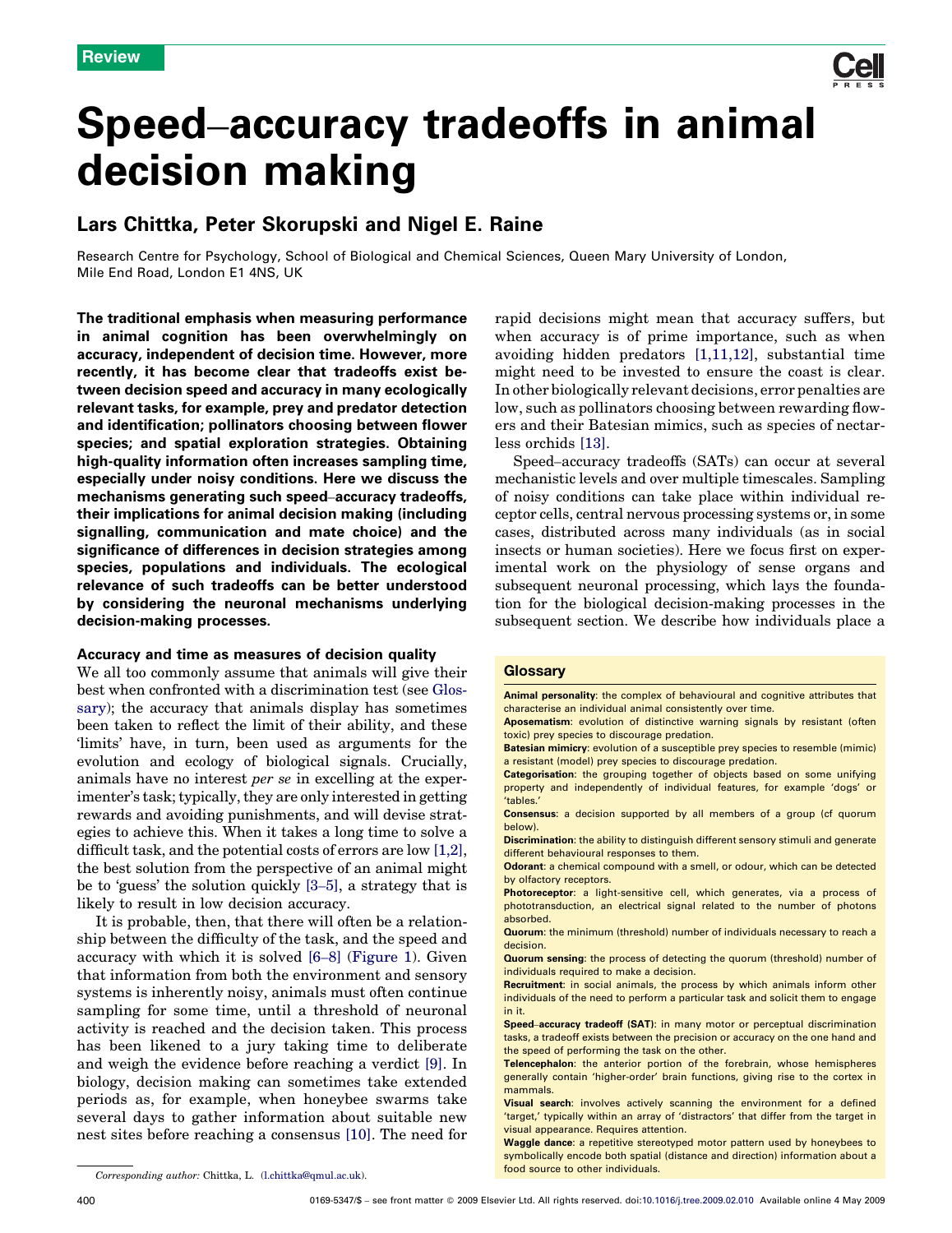

# Speed–accuracy tradeoffs in animal decision making

## Lars Chittka, Peter Skorupski and Nigel E. Raine

Research Centre for Psychology, School of Biological and Chemical Sciences, Queen Mary University of London, Mile End Road, London E1 4NS, UK

The traditional emphasis when measuring performance in animal cognition has been overwhelmingly on accuracy, independent of decision time. However, more recently, it has become clear that tradeoffs exist between decision speed and accuracy in many ecologically relevant tasks, for example, prey and predator detection and identification; pollinators choosing between flower species; and spatial exploration strategies. Obtaining high-quality information often increases sampling time, especially under noisy conditions. Here we discuss the mechanisms generating such speed–accuracy tradeoffs, their implications for animal decision making (including signalling, communication and mate choice) and the significance of differences in decision strategies among species, populations and individuals. The ecological relevance of such tradeoffs can be better understood by considering the neuronal mechanisms underlying decision-making processes.

### Accuracy and time as measures of decision quality

We all too commonly assume that animals will give their best when confronted with a discrimination test (see Glossary); the accuracy that animals display has sometimes been taken to reflect the limit of their ability, and these 'limits' have, in turn, been used as arguments for the evolution and ecology of biological signals. Crucially, animals have no interest per se in excelling at the experimenter's task; typically, they are only interested in getting rewards and avoiding punishments, and will devise strategies to achieve this. When it takes a long time to solve a difficult task, and the potential costs of errors are low [\[1,2\]](#page-6-0), the best solution from the perspective of an animal might be to 'guess' the solution quickly [3–[5\],](#page-6-0) a strategy that is likely to result in low decision accuracy.

It is probable, then, that there will often be a relationship between the difficulty of the task, and the speed and accuracy with which it is solved [6–[8\]](#page-6-0) ([Figure 1](#page-1-0)). Given that information from both the environment and sensory systems is inherently noisy, animals must often continue sampling for some time, until a threshold of neuronal activity is reached and the decision taken. This process has been likened to a jury taking time to deliberate and weigh the evidence before reaching a verdict [\[9\].](#page-6-0) In biology, decision making can sometimes take extended periods as, for example, when honeybee swarms take several days to gather information about suitable new nest sites before reaching a consensus [\[10\]](#page-6-0). The need for rapid decisions might mean that accuracy suffers, but when accuracy is of prime importance, such as when avoiding hidden predators [\[1,11,12\]](#page-6-0), substantial time might need to be invested to ensure the coast is clear. In other biologically relevant decisions, error penalties are low, such as pollinators choosing between rewarding flowers and their Batesian mimics, such as species of nectarless orchids [\[13\]](#page-6-0).

Speed–accuracy tradeoffs (SATs) can occur at several mechanistic levels and over multiple timescales. Sampling of noisy conditions can take place within individual receptor cells, central nervous processing systems or, in some cases, distributed across many individuals (as in social insects or human societies). Here we focus first on experimental work on the physiology of sense organs and subsequent neuronal processing, which lays the foundation for the biological decision-making processes in the subsequent section. We describe how individuals place a

#### **Glossary**

Animal personality: the complex of behavioural and cognitive attributes that characterise an individual animal consistently over time.

Aposematism: evolution of distinctive warning signals by resistant (often toxic) prey species to discourage predation.

Batesian mimicry: evolution of a susceptible prey species to resemble (mimic) a resistant (model) prey species to discourage predation.

Categorisation: the grouping together of objects based on some unifying property and independently of individual features, for example 'dogs' or 'tables.'

Consensus: a decision supported by all members of a group (cf quorum below).

Discrimination: the ability to distinguish different sensory stimuli and generate different behavioural responses to them.

Odorant: a chemical compound with a smell, or odour, which can be detected by olfactory receptors.

Photoreceptor: a light-sensitive cell, which generates, via a process of phototransduction, an electrical signal related to the number of photons absorbed.

Quorum: the minimum (threshold) number of individuals necessary to reach a decision.

Quorum sensing: the process of detecting the quorum (threshold) number of individuals required to make a decision.

Recruitment: in social animals, the process by which animals inform other individuals of the need to perform a particular task and solicit them to engage in it.

Speed–accuracy tradeoff (SAT): in many motor or perceptual discrimination tasks, a tradeoff exists between the precision or accuracy on the one hand and the speed of performing the task on the other.

Telencephalon: the anterior portion of the forebrain, whose hemispheres generally contain 'higher-order' brain functions, giving rise to the cortex in mammals.

Visual search: involves actively scanning the environment for a defined 'target,' typically within an array of 'distractors' that differ from the target in visual appearance. Requires attention.

Waggle dance: a repetitive stereotyped motor pattern used by honeybees to symbolically encode both spatial (distance and direction) information about a

food source to other individuals. Corresponding author: Chittka, L. [\(l.chittka@qmul.ac.uk](mailto:l.chittka@qmul.ac.uk)).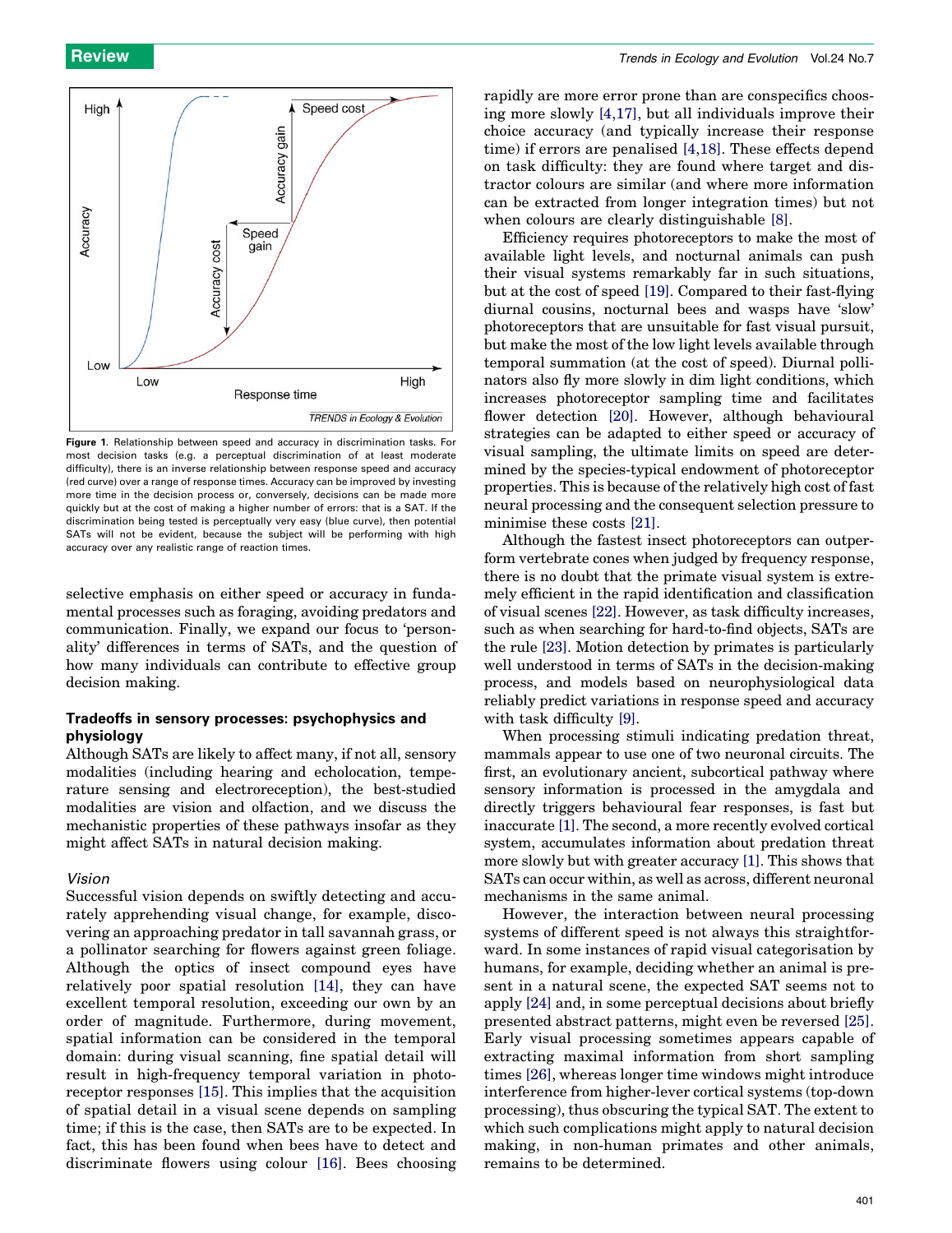<span id="page-1-0"></span>

Figure 1. Relationship between speed and accuracy in discrimination tasks. For most decision tasks (e.g. a perceptual discrimination of at least moderate difficulty), there is an inverse relationship between response speed and accuracy (red curve) over a range of response times. Accuracy can be improved by investing more time in the decision process or, conversely, decisions can be made more quickly but at the cost of making a higher number of errors: that is a SAT. If the discrimination being tested is perceptually very easy (blue curve), then potential SATs will not be evident, because the subject will be performing with high accuracy over any realistic range of reaction times.

selective emphasis on either speed or accuracy in fundamental processes such as foraging, avoiding predators and communication. Finally, we expand our focus to 'personality' differences in terms of SATs, and the question of how many individuals can contribute to effective group decision making.

## Tradeoffs in sensory processes: psychophysics and physiology

Although SATs are likely to affect many, if not all, sensory modalities (including hearing and echolocation, temperature sensing and electroreception), the best-studied modalities are vision and olfaction, and we discuss the mechanistic properties of these pathways insofar as they might affect SATs in natural decision making.

#### Vision

Successful vision depends on swiftly detecting and accurately apprehending visual change, for example, discovering an approaching predator in tall savannah grass, or a pollinator searching for flowers against green foliage. Although the optics of insect compound eyes have relatively poor spatial resolution [\[14\]](#page-6-0), they can have excellent temporal resolution, exceeding our own by an order of magnitude. Furthermore, during movement, spatial information can be considered in the temporal domain: during visual scanning, fine spatial detail will result in high-frequency temporal variation in photoreceptor responses [\[15\]](#page-6-0). This implies that the acquisition of spatial detail in a visual scene depends on sampling time; if this is the case, then SATs are to be expected. In fact, this has been found when bees have to detect and discriminate flowers using colour [\[16\].](#page-6-0) Bees choosing

rapidly are more error prone than are conspecifics choosing more slowly [\[4,17\]](#page-6-0), but all individuals improve their choice accuracy (and typically increase their response time) if errors are penalised [\[4,18\]](#page-6-0). These effects depend on task difficulty: they are found where target and distractor colours are similar (and where more information can be extracted from longer integration times) but not when colours are clearly distinguishable [\[8\].](#page-6-0)

Efficiency requires photoreceptors to make the most of available light levels, and nocturnal animals can push their visual systems remarkably far in such situations, but at the cost of speed [\[19\]](#page-6-0). Compared to their fast-flying diurnal cousins, nocturnal bees and wasps have 'slow' photoreceptors that are unsuitable for fast visual pursuit, but make the most of the low light levels available through temporal summation (at the cost of speed). Diurnal pollinators also fly more slowly in dim light conditions, which increases photoreceptor sampling time and facilitates flower detection [\[20\]](#page-6-0). However, although behavioural strategies can be adapted to either speed or accuracy of visual sampling, the ultimate limits on speed are determined by the species-typical endowment of photoreceptor properties. This is because of the relatively high cost of fast neural processing and the consequent selection pressure to minimise these costs [\[21\]](#page-6-0).

Although the fastest insect photoreceptors can outperform vertebrate cones when judged by frequency response, there is no doubt that the primate visual system is extremely efficient in the rapid identification and classification of visual scenes [\[22\]](#page-6-0). However, as task difficulty increases, such as when searching for hard-to-find objects, SATs are the rule [\[23\]](#page-6-0). Motion detection by primates is particularly well understood in terms of SATs in the decision-making process, and models based on neurophysiological data reliably predict variations in response speed and accuracy with task difficulty [\[9\]](#page-6-0).

When processing stimuli indicating predation threat, mammals appear to use one of two neuronal circuits. The first, an evolutionary ancient, subcortical pathway where sensory information is processed in the amygdala and directly triggers behavioural fear responses, is fast but inaccurate [\[1\]](#page-6-0). The second, a more recently evolved cortical system, accumulates information about predation threat more slowly but with greater accuracy [\[1\]](#page-6-0). This shows that SATs can occur within, as well as across, different neuronal mechanisms in the same animal.

However, the interaction between neural processing systems of different speed is not always this straightforward. In some instances of rapid visual categorisation by humans, for example, deciding whether an animal is present in a natural scene, the expected SAT seems not to apply [\[24\]](#page-6-0) and, in some perceptual decisions about briefly presented abstract patterns, might even be reversed [\[25\]](#page-6-0). Early visual processing sometimes appears capable of extracting maximal information from short sampling times [\[26\]](#page-6-0), whereas longer time windows might introduce interference from higher-lever cortical systems (top-down processing), thus obscuring the typical SAT. The extent to which such complications might apply to natural decision making, in non-human primates and other animals, remains to be determined.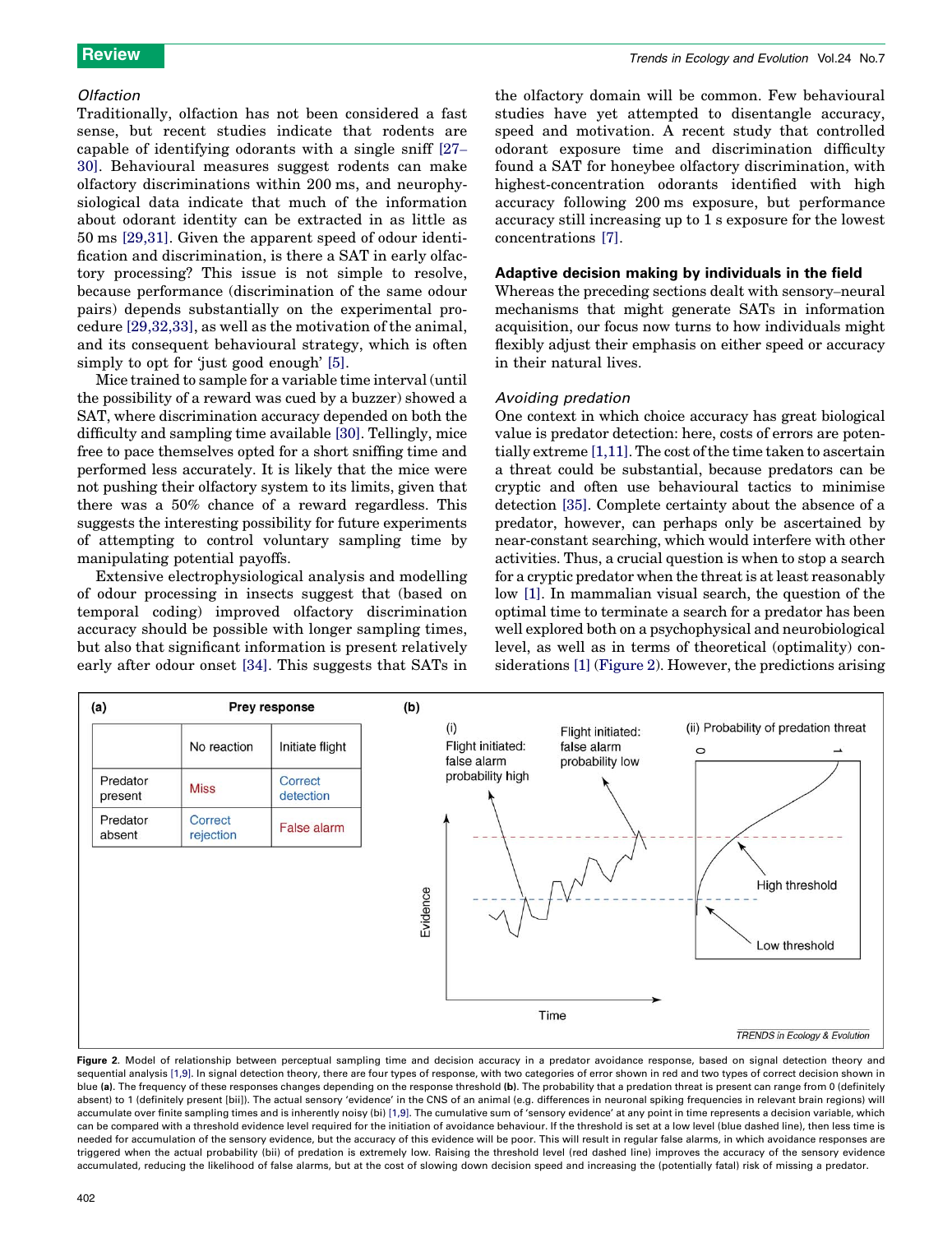#### Olfaction

Traditionally, olfaction has not been considered a fast sense, but recent studies indicate that rodents are capable of identifying odorants with a single sniff [\[27](#page-6-0)– [30\]](#page-6-0). Behavioural measures suggest rodents can make olfactory discriminations within 200 ms, and neurophysiological data indicate that much of the information about odorant identity can be extracted in as little as 50 ms [\[29,31\].](#page-6-0) Given the apparent speed of odour identification and discrimination, is there a SAT in early olfactory processing? This issue is not simple to resolve, because performance (discrimination of the same odour pairs) depends substantially on the experimental procedure [\[29,32,33\],](#page-6-0) as well as the motivation of the animal, and its consequent behavioural strategy, which is often simply to opt for 'just good enough' [\[5\]](#page-6-0).

Mice trained to sample for a variable time interval (until the possibility of a reward was cued by a buzzer) showed a SAT, where discrimination accuracy depended on both the difficulty and sampling time available [\[30\]](#page-6-0). Tellingly, mice free to pace themselves opted for a short sniffing time and performed less accurately. It is likely that the mice were not pushing their olfactory system to its limits, given that there was a 50% chance of a reward regardless. This suggests the interesting possibility for future experiments of attempting to control voluntary sampling time by manipulating potential payoffs.

Extensive electrophysiological analysis and modelling of odour processing in insects suggest that (based on temporal coding) improved olfactory discrimination accuracy should be possible with longer sampling times, but also that significant information is present relatively early after odour onset [\[34\].](#page-6-0) This suggests that SATs in the olfactory domain will be common. Few behavioural studies have yet attempted to disentangle accuracy, speed and motivation. A recent study that controlled odorant exposure time and discrimination difficulty found a SAT for honeybee olfactory discrimination, with highest-concentration odorants identified with high accuracy following 200 ms exposure, but performance accuracy still increasing up to 1 s exposure for the lowest concentrations [\[7\]](#page-6-0).

#### Adaptive decision making by individuals in the field

Whereas the preceding sections dealt with sensory–neural mechanisms that might generate SATs in information acquisition, our focus now turns to how individuals might flexibly adjust their emphasis on either speed or accuracy in their natural lives.

#### Avoiding predation

One context in which choice accuracy has great biological value is predator detection: here, costs of errors are potentially extreme [\[1,11\].](#page-6-0) The cost of the time taken to ascertain a threat could be substantial, because predators can be cryptic and often use behavioural tactics to minimise detection [\[35\]](#page-6-0). Complete certainty about the absence of a predator, however, can perhaps only be ascertained by near-constant searching, which would interfere with other activities. Thus, a crucial question is when to stop a search for a cryptic predator when the threat is at least reasonably low [\[1\]](#page-6-0). In mammalian visual search, the question of the optimal time to terminate a search for a predator has been well explored both on a psychophysical and neurobiological level, as well as in terms of theoretical (optimality) considerations [\[1\]](#page-6-0) (Figure 2). However, the predictions arising



Figure 2. Model of relationship between perceptual sampling time and decision accuracy in a predator avoidance response, based on signal detection theory and sequential analysis [\[1,9\].](#page-6-0) In signal detection theory, there are four types of response, with two categories of error shown in red and two types of correct decision shown in blue (a). The frequency of these responses changes depending on the response threshold (b). The probability that a predation threat is present can range from 0 (definitely absent) to 1 (definitely present [bii]). The actual sensory 'evidence' in the CNS of an animal (e.g. differences in neuronal spiking frequencies in relevant brain regions) will accumulate over finite sampling times and is inherently noisy (bi) [\[1,9\]](#page-6-0). The cumulative sum of 'sensory evidence' at any point in time represents a decision variable, which can be compared with a threshold evidence level required for the initiation of avoidance behaviour. If the threshold is set at a low level (blue dashed line), then less time is needed for accumulation of the sensory evidence, but the accuracy of this evidence will be poor. This will result in regular false alarms, in which avoidance responses are triggered when the actual probability (bii) of predation is extremely low. Raising the threshold level (red dashed line) improves the accuracy of the sensory evidence accumulated, reducing the likelihood of false alarms, but at the cost of slowing down decision speed and increasing the (potentially fatal) risk of missing a predator.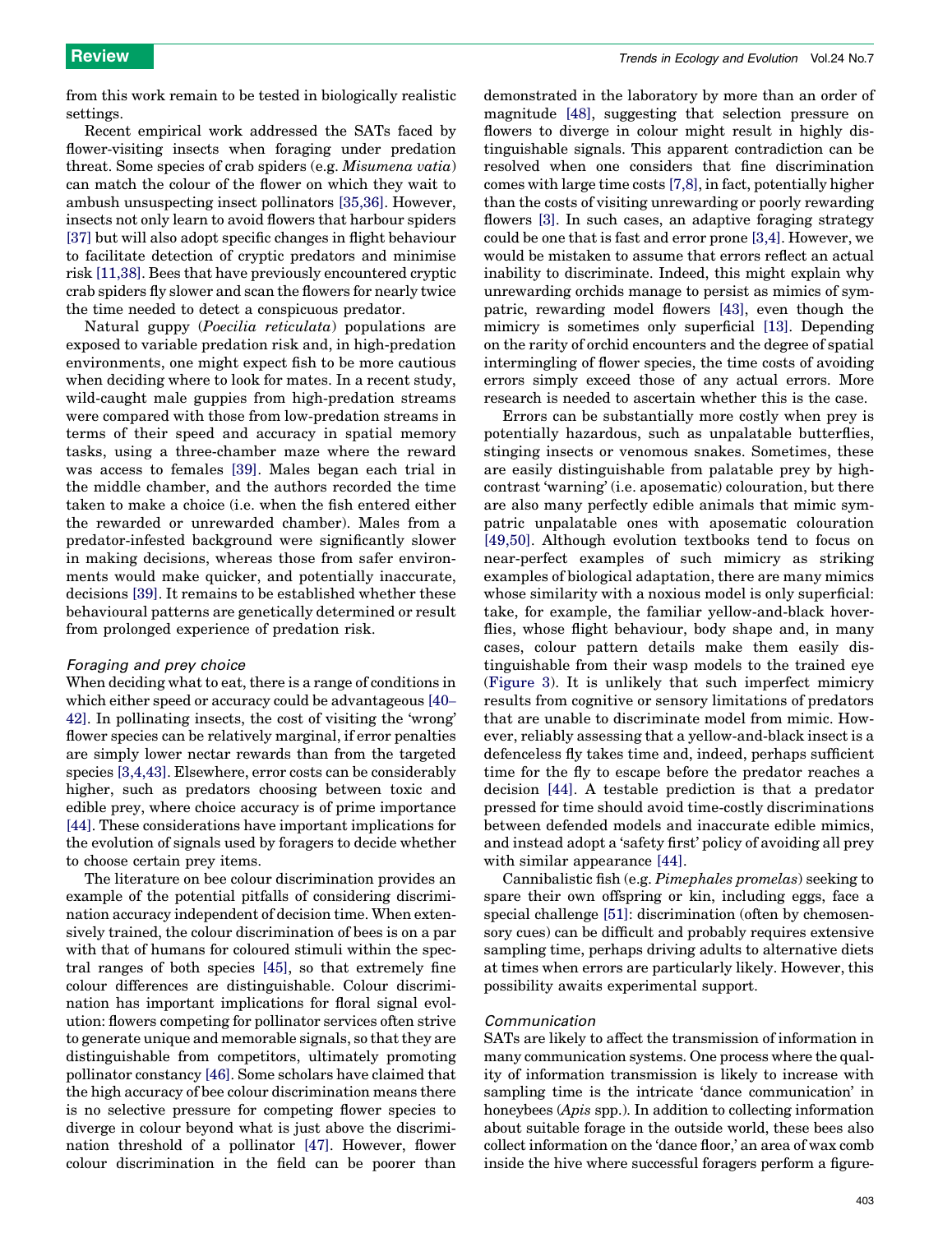from this work remain to be tested in biologically realistic settings.

Recent empirical work addressed the SATs faced by flower-visiting insects when foraging under predation threat. Some species of crab spiders (e.g. Misumena vatia) can match the colour of the flower on which they wait to ambush unsuspecting insect pollinators [\[35,36\]](#page-6-0). However, insects not only learn to avoid flowers that harbour spiders [\[37\]](#page-6-0) but will also adopt specific changes in flight behaviour to facilitate detection of cryptic predators and minimise risk [\[11,38\]](#page-6-0). Bees that have previously encountered cryptic crab spiders fly slower and scan the flowers for nearly twice the time needed to detect a conspicuous predator.

Natural guppy (Poecilia reticulata) populations are exposed to variable predation risk and, in high-predation environments, one might expect fish to be more cautious when deciding where to look for mates. In a recent study, wild-caught male guppies from high-predation streams were compared with those from low-predation streams in terms of their speed and accuracy in spatial memory tasks, using a three-chamber maze where the reward was access to females [\[39\].](#page-6-0) Males began each trial in the middle chamber, and the authors recorded the time taken to make a choice (i.e. when the fish entered either the rewarded or unrewarded chamber). Males from a predator-infested background were significantly slower in making decisions, whereas those from safer environments would make quicker, and potentially inaccurate, decisions [\[39\].](#page-6-0) It remains to be established whether these behavioural patterns are genetically determined or result from prolonged experience of predation risk.

#### Foraging and prey choice

When deciding what to eat, there is a range of conditions in which either speed or accuracy could be advantageous [\[40](#page-6-0)– [42\]](#page-6-0). In pollinating insects, the cost of visiting the 'wrong' flower species can be relatively marginal, if error penalties are simply lower nectar rewards than from the targeted species [\[3,4,43\]](#page-6-0). Elsewhere, error costs can be considerably higher, such as predators choosing between toxic and edible prey, where choice accuracy is of prime importance [\[44\]](#page-6-0). These considerations have important implications for the evolution of signals used by foragers to decide whether to choose certain prey items.

The literature on bee colour discrimination provides an example of the potential pitfalls of considering discrimination accuracy independent of decision time. When extensively trained, the colour discrimination of bees is on a par with that of humans for coloured stimuli within the spectral ranges of both species [\[45\]](#page-6-0), so that extremely fine colour differences are distinguishable. Colour discrimination has important implications for floral signal evolution: flowers competing for pollinator services often strive to generate unique and memorable signals, so that they are distinguishable from competitors, ultimately promoting pollinator constancy [\[46\]](#page-6-0). Some scholars have claimed that the high accuracy of bee colour discrimination means there is no selective pressure for competing flower species to diverge in colour beyond what is just above the discrimination threshold of a pollinator [\[47\]](#page-6-0). However, flower colour discrimination in the field can be poorer than

demonstrated in the laboratory by more than an order of magnitude [\[48\],](#page-6-0) suggesting that selection pressure on flowers to diverge in colour might result in highly distinguishable signals. This apparent contradiction can be resolved when one considers that fine discrimination comes with large time costs [\[7,8\]](#page-6-0), in fact, potentially higher than the costs of visiting unrewarding or poorly rewarding flowers [\[3\].](#page-6-0) In such cases, an adaptive foraging strategy could be one that is fast and error prone [\[3,4\].](#page-6-0) However, we would be mistaken to assume that errors reflect an actual inability to discriminate. Indeed, this might explain why unrewarding orchids manage to persist as mimics of sympatric, rewarding model flowers [\[43\]](#page-6-0), even though the mimicry is sometimes only superficial [\[13\].](#page-6-0) Depending on the rarity of orchid encounters and the degree of spatial intermingling of flower species, the time costs of avoiding errors simply exceed those of any actual errors. More research is needed to ascertain whether this is the case.

Errors can be substantially more costly when prey is potentially hazardous, such as unpalatable butterflies, stinging insects or venomous snakes. Sometimes, these are easily distinguishable from palatable prey by highcontrast 'warning' (i.e. aposematic) colouration, but there are also many perfectly edible animals that mimic sympatric unpalatable ones with aposematic colouration [\[49,50\].](#page-6-0) Although evolution textbooks tend to focus on near-perfect examples of such mimicry as striking examples of biological adaptation, there are many mimics whose similarity with a noxious model is only superficial: take, for example, the familiar yellow-and-black hoverflies, whose flight behaviour, body shape and, in many cases, colour pattern details make them easily distinguishable from their wasp models to the trained eye ([Figure 3](#page-4-0)). It is unlikely that such imperfect mimicry results from cognitive or sensory limitations of predators that are unable to discriminate model from mimic. However, reliably assessing that a yellow-and-black insect is a defenceless fly takes time and, indeed, perhaps sufficient time for the fly to escape before the predator reaches a decision [\[44\]](#page-6-0). A testable prediction is that a predator pressed for time should avoid time-costly discriminations between defended models and inaccurate edible mimics, and instead adopt a 'safety first' policy of avoiding all prey with similar appearance [\[44\].](#page-6-0)

Cannibalistic fish (e.g. Pimephales promelas) seeking to spare their own offspring or kin, including eggs, face a special challenge [\[51\]:](#page-6-0) discrimination (often by chemosensory cues) can be difficult and probably requires extensive sampling time, perhaps driving adults to alternative diets at times when errors are particularly likely. However, this possibility awaits experimental support.

#### Communication

SATs are likely to affect the transmission of information in many communication systems. One process where the quality of information transmission is likely to increase with sampling time is the intricate 'dance communication' in honeybees (Apis spp.). In addition to collecting information about suitable forage in the outside world, these bees also collect information on the 'dance floor,' an area of wax comb inside the hive where successful foragers perform a figure-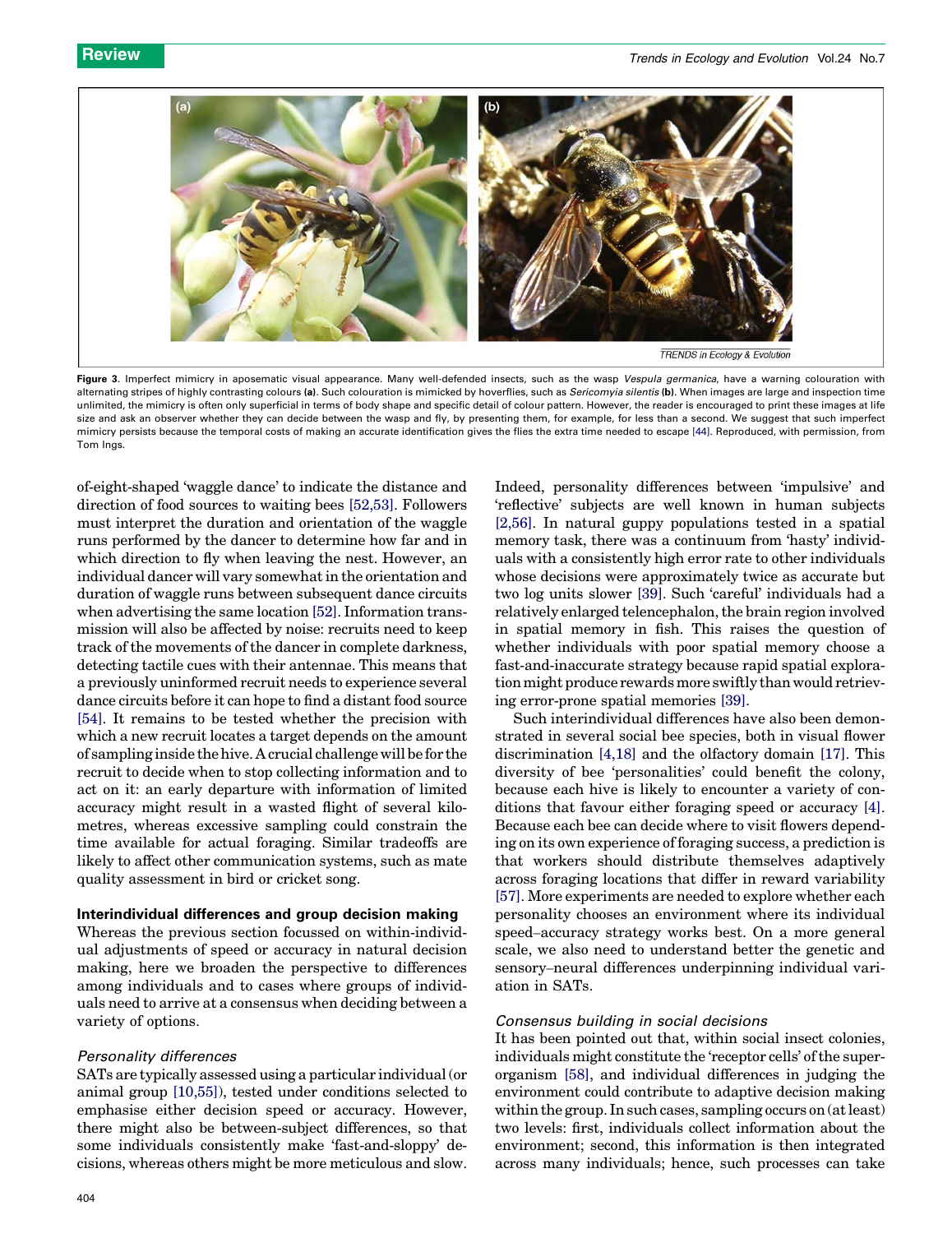<span id="page-4-0"></span>

Figure 3. Imperfect mimicry in aposematic visual appearance. Many well-defended insects, such as the wasp Vespula germanica, have a warning colouration with alternating stripes of highly contrasting colours (a). Such colouration is mimicked by hoverflies, such as Sericomyia silentis (b). When images are large and inspection time unlimited, the mimicry is often only superficial in terms of body shape and specific detail of colour pattern. However, the reader is encouraged to print these images at life size and ask an observer whether they can decide between the wasp and fly, by presenting them, for example, for less than a second. We suggest that such imperfect mimicry persists because the temporal costs of making an accurate identification gives the flies the extra time needed to escape [\[44\].](#page-6-0) Reproduced, with permission, from Tom Ings.

of-eight-shaped 'waggle dance' to indicate the distance and direction of food sources to waiting bees [\[52,53\].](#page-6-0) Followers must interpret the duration and orientation of the waggle runs performed by the dancer to determine how far and in which direction to fly when leaving the nest. However, an individual dancer will vary somewhat in the orientation and duration of waggle runs between subsequent dance circuits when advertising the same location [\[52\]](#page-6-0). Information transmission will also be affected by noise: recruits need to keep track of the movements of the dancer in complete darkness, detecting tactile cues with their antennae. This means that a previously uninformed recruit needs to experience several dance circuits before it can hope to find a distant food source [\[54\].](#page-6-0) It remains to be tested whether the precision with which a new recruit locates a target depends on the amount of sampling inside the hive. A crucial challenge will be for the recruit to decide when to stop collecting information and to act on it: an early departure with information of limited accuracy might result in a wasted flight of several kilometres, whereas excessive sampling could constrain the time available for actual foraging. Similar tradeoffs are likely to affect other communication systems, such as mate quality assessment in bird or cricket song.

#### Interindividual differences and group decision making

Whereas the previous section focussed on within-individual adjustments of speed or accuracy in natural decision making, here we broaden the perspective to differences among individuals and to cases where groups of individuals need to arrive at a consensus when deciding between a variety of options.

#### Personality differences

SATs are typically assessed using a particular individual (or animal group [\[10,55\]](#page-6-0)), tested under conditions selected to emphasise either decision speed or accuracy. However, there might also be between-subject differences, so that some individuals consistently make 'fast-and-sloppy' decisions, whereas others might be more meticulous and slow. Indeed, personality differences between 'impulsive' and 'reflective' subjects are well known in human subjects [\[2,56\].](#page-6-0) In natural guppy populations tested in a spatial memory task, there was a continuum from 'hasty' individuals with a consistently high error rate to other individuals whose decisions were approximately twice as accurate but two log units slower [\[39\]](#page-6-0). Such 'careful' individuals had a relatively enlarged telencephalon, the brain region involved in spatial memory in fish. This raises the question of whether individuals with poor spatial memory choose a fast-and-inaccurate strategy because rapid spatial exploration might produce rewards more swiftly than would retrieving error-prone spatial memories [\[39\]](#page-6-0).

Such interindividual differences have also been demonstrated in several social bee species, both in visual flower discrimination [\[4,18\]](#page-6-0) and the olfactory domain [\[17\]](#page-6-0). This diversity of bee 'personalities' could benefit the colony, because each hive is likely to encounter a variety of conditions that favour either foraging speed or accuracy [\[4\]](#page-6-0). Because each bee can decide where to visit flowers depending on its own experience of foraging success, a prediction is that workers should distribute themselves adaptively across foraging locations that differ in reward variability [\[57\]](#page-6-0). More experiments are needed to explore whether each personality chooses an environment where its individual speed–accuracy strategy works best. On a more general scale, we also need to understand better the genetic and sensory–neural differences underpinning individual variation in SATs.

### Consensus building in social decisions

It has been pointed out that, within social insect colonies, individuals might constitute the 'receptor cells' of the superorganism [\[58\]](#page-6-0), and individual differences in judging the environment could contribute to adaptive decision making within the group. In such cases, sampling occurs on (at least) two levels: first, individuals collect information about the environment; second, this information is then integrated across many individuals; hence, such processes can take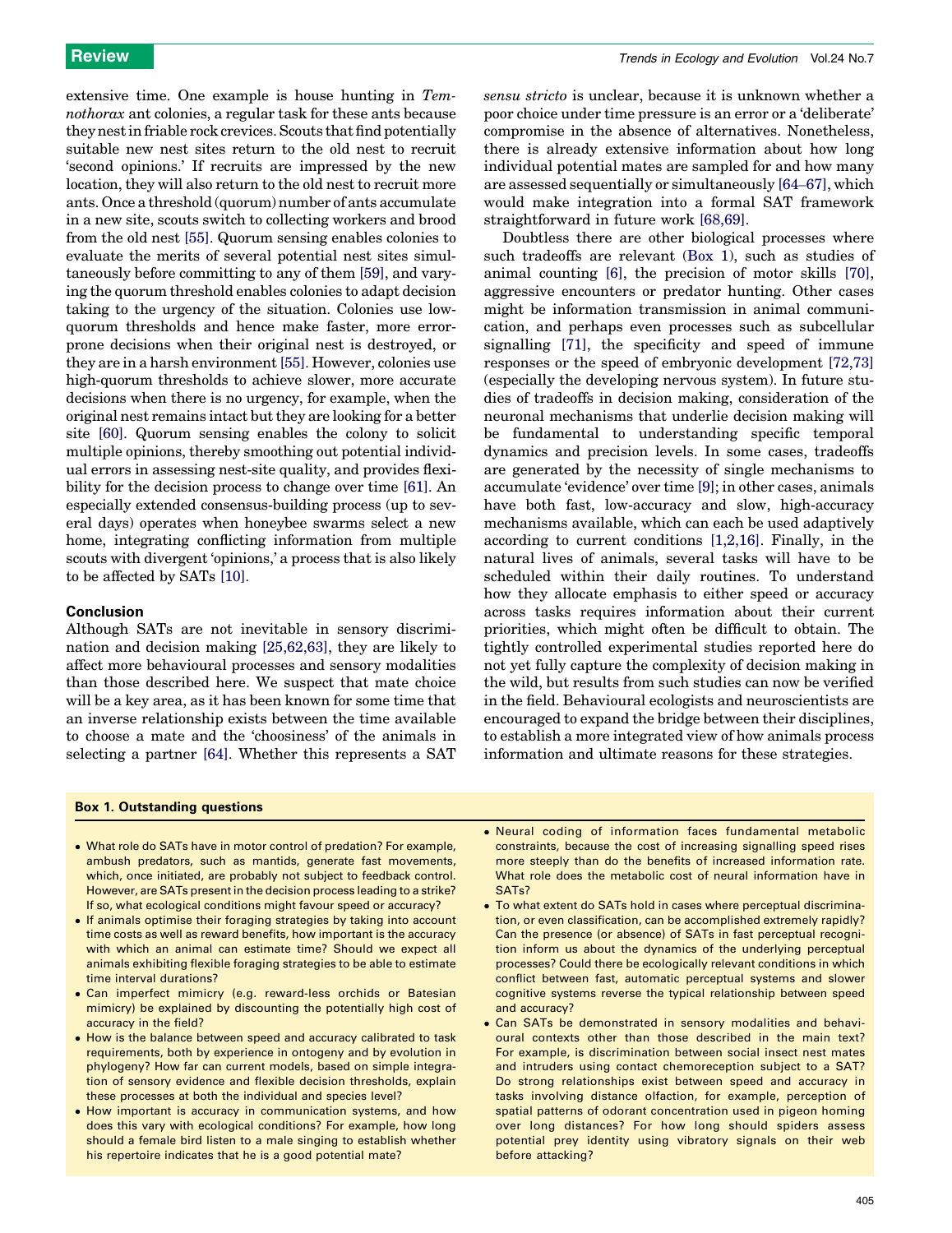extensive time. One example is house hunting in Temnothorax ant colonies, a regular task for these ants because they nest in friable rock crevices. Scouts that find potentially suitable new nest sites return to the old nest to recruit 'second opinions.' If recruits are impressed by the new location, they will also return to the old nest to recruit more ants. Once a threshold (quorum) number of ants accumulate in a new site, scouts switch to collecting workers and brood from the old nest [\[55\].](#page-6-0) Quorum sensing enables colonies to evaluate the merits of several potential nest sites simultaneously before committing to any of them [\[59\],](#page-7-0) and varying the quorum threshold enables colonies to adapt decision taking to the urgency of the situation. Colonies use lowquorum thresholds and hence make faster, more errorprone decisions when their original nest is destroyed, or they are in a harsh environment[\[55\]](#page-6-0). However, colonies use high-quorum thresholds to achieve slower, more accurate decisions when there is no urgency, for example, when the original nest remains intact but they are looking for a better site [\[60\]](#page-7-0). Quorum sensing enables the colony to solicit multiple opinions, thereby smoothing out potential individual errors in assessing nest-site quality, and provides flexibility for the decision process to change over time [\[61\].](#page-7-0) An especially extended consensus-building process (up to several days) operates when honeybee swarms select a new home, integrating conflicting information from multiple scouts with divergent 'opinions,' a process that is also likely to be affected by SATs [\[10\].](#page-6-0)

#### Conclusion

Although SATs are not inevitable in sensory discrimination and decision making [\[25,62,63\]](#page-6-0), they are likely to affect more behavioural processes and sensory modalities than those described here. We suspect that mate choice will be a key area, as it has been known for some time that an inverse relationship exists between the time available to choose a mate and the 'choosiness' of the animals in selecting a partner [\[64\]](#page-7-0). Whether this represents a SAT

sensu stricto is unclear, because it is unknown whether a poor choice under time pressure is an error or a 'deliberate' compromise in the absence of alternatives. Nonetheless, there is already extensive information about how long individual potential mates are sampled for and how many are assessed sequentially or simultaneously [\[64](#page-7-0)–67], which would make integration into a formal SAT framework straightforward in future work [\[68,69\].](#page-7-0)

Doubtless there are other biological processes where such tradeoffs are relevant (Box 1), such as studies of animal counting [\[6\],](#page-6-0) the precision of motor skills [\[70\]](#page-7-0), aggressive encounters or predator hunting. Other cases might be information transmission in animal communication, and perhaps even processes such as subcellular signalling [\[71\],](#page-7-0) the specificity and speed of immune responses or the speed of embryonic development [\[72,73\]](#page-7-0) (especially the developing nervous system). In future studies of tradeoffs in decision making, consideration of the neuronal mechanisms that underlie decision making will be fundamental to understanding specific temporal dynamics and precision levels. In some cases, tradeoffs are generated by the necessity of single mechanisms to accumulate 'evidence' over time [\[9\]](#page-6-0); in other cases, animals have both fast, low-accuracy and slow, high-accuracy mechanisms available, which can each be used adaptively according to current conditions [\[1,2,16\]](#page-6-0). Finally, in the natural lives of animals, several tasks will have to be scheduled within their daily routines. To understand how they allocate emphasis to either speed or accuracy across tasks requires information about their current priorities, which might often be difficult to obtain. The tightly controlled experimental studies reported here do not yet fully capture the complexity of decision making in the wild, but results from such studies can now be verified in the field. Behavioural ecologists and neuroscientists are encouraged to expand the bridge between their disciplines, to establish a more integrated view of how animals process information and ultimate reasons for these strategies.

#### Box 1. Outstanding questions

- What role do SATs have in motor control of predation? For example, ambush predators, such as mantids, generate fast movements, which, once initiated, are probably not subject to feedback control. However, are SATs present in the decision process leading to a strike? If so, what ecological conditions might favour speed or accuracy?
- If animals optimise their foraging strategies by taking into account time costs as well as reward benefits, how important is the accuracy with which an animal can estimate time? Should we expect all animals exhibiting flexible foraging strategies to be able to estimate time interval durations?
- Can imperfect mimicry (e.g. reward-less orchids or Batesian mimicry) be explained by discounting the potentially high cost of accuracy in the field?
- How is the balance between speed and accuracy calibrated to task requirements, both by experience in ontogeny and by evolution in phylogeny? How far can current models, based on simple integration of sensory evidence and flexible decision thresholds, explain these processes at both the individual and species level?
- How important is accuracy in communication systems, and how does this vary with ecological conditions? For example, how long should a female bird listen to a male singing to establish whether his repertoire indicates that he is a good potential mate?
- Neural coding of information faces fundamental metabolic constraints, because the cost of increasing signalling speed rises more steeply than do the benefits of increased information rate. What role does the metabolic cost of neural information have in SATs?
- To what extent do SATs hold in cases where perceptual discrimination, or even classification, can be accomplished extremely rapidly? Can the presence (or absence) of SATs in fast perceptual recognition inform us about the dynamics of the underlying perceptual processes? Could there be ecologically relevant conditions in which conflict between fast, automatic perceptual systems and slower cognitive systems reverse the typical relationship between speed and accuracy?
- Can SATs be demonstrated in sensory modalities and behavioural contexts other than those described in the main text? For example, is discrimination between social insect nest mates and intruders using contact chemoreception subject to a SAT? Do strong relationships exist between speed and accuracy in tasks involving distance olfaction, for example, perception of spatial patterns of odorant concentration used in pigeon homing over long distances? For how long should spiders assess potential prey identity using vibratory signals on their web before attacking?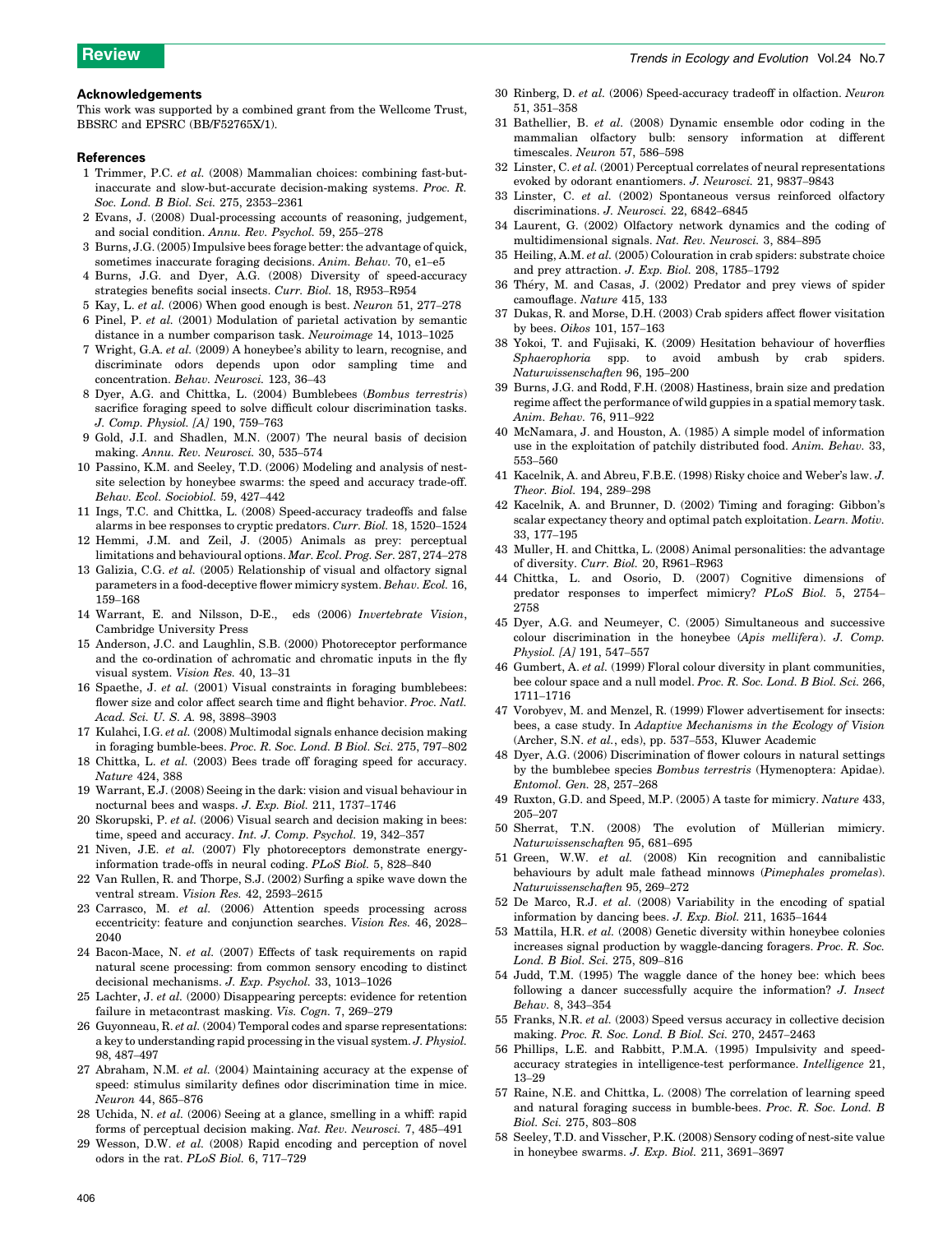#### <span id="page-6-0"></span>Acknowledgements

This work was supported by a combined grant from the Wellcome Trust, BBSRC and EPSRC (BB/F52765X/1).

#### References

- 1 Trimmer, P.C. et al. (2008) Mammalian choices: combining fast-butinaccurate and slow-but-accurate decision-making systems. Proc. R. Soc. Lond. B Biol. Sci. 275, 2353–2361
- 2 Evans, J. (2008) Dual-processing accounts of reasoning, judgement, and social condition. Annu. Rev. Psychol. 59, 255–278
- 3 Burns, J.G. (2005) Impulsive bees forage better: the advantage of quick, sometimes inaccurate foraging decisions. Anim. Behav. 70, e1-e5
- 4 Burns, J.G. and Dyer, A.G. (2008) Diversity of speed-accuracy strategies benefits social insects. Curr. Biol. 18, R953–R954
- 5 Kay, L. et al. (2006) When good enough is best. Neuron 51, 277–278
- 6 Pinel, P. et al. (2001) Modulation of parietal activation by semantic distance in a number comparison task. Neuroimage 14, 1013–1025
- 7 Wright, G.A. et al. (2009) A honeybee's ability to learn, recognise, and discriminate odors depends upon odor sampling time and concentration. Behav. Neurosci. 123, 36–43
- 8 Dyer, A.G. and Chittka, L. (2004) Bumblebees (Bombus terrestris) sacrifice foraging speed to solve difficult colour discrimination tasks. J. Comp. Physiol. [A] 190, 759–763
- 9 Gold, J.I. and Shadlen, M.N. (2007) The neural basis of decision making. Annu. Rev. Neurosci. 30, 535–574
- 10 Passino, K.M. and Seeley, T.D. (2006) Modeling and analysis of nestsite selection by honeybee swarms: the speed and accuracy trade-off. Behav. Ecol. Sociobiol. 59, 427–442
- 11 Ings, T.C. and Chittka, L. (2008) Speed-accuracy tradeoffs and false alarms in bee responses to cryptic predators. Curr. Biol. 18, 1520–1524
- 12 Hemmi, J.M. and Zeil, J. (2005) Animals as prey: perceptual limitations and behavioural options. Mar. Ecol. Prog. Ser. 287, 274–278
- 13 Galizia, C.G. et al. (2005) Relationship of visual and olfactory signal parameters in a food-deceptive flower mimicry system. Behav. Ecol. 16, 159–168
- 14 Warrant, E. and Nilsson, D-E., eds (2006) Invertebrate Vision, Cambridge University Press
- 15 Anderson, J.C. and Laughlin, S.B. (2000) Photoreceptor performance and the co-ordination of achromatic and chromatic inputs in the fly visual system. Vision Res. 40, 13–31
- 16 Spaethe, J. et al. (2001) Visual constraints in foraging bumblebees: flower size and color affect search time and flight behavior. Proc. Natl. Acad. Sci. U. S. A. 98, 3898–3903
- 17 Kulahci, I.G. et al. (2008) Multimodal signals enhance decision making in foraging bumble-bees. Proc. R. Soc. Lond. B Biol. Sci. 275, 797–802
- 18 Chittka, L. et al. (2003) Bees trade off foraging speed for accuracy. Nature 424, 388
- 19 Warrant, E.J. (2008) Seeing in the dark: vision and visual behaviour in nocturnal bees and wasps. J. Exp. Biol. 211, 1737–1746
- 20 Skorupski, P. et al. (2006) Visual search and decision making in bees: time, speed and accuracy. Int. J. Comp. Psychol. 19, 342-357
- 21 Niven, J.E. et al. (2007) Fly photoreceptors demonstrate energyinformation trade-offs in neural coding. PLoS Biol. 5, 828–840
- 22 Van Rullen, R. and Thorpe, S.J. (2002) Surfing a spike wave down the ventral stream. Vision Res. 42, 2593–2615
- 23 Carrasco, M. et al. (2006) Attention speeds processing across eccentricity: feature and conjunction searches. Vision Res. 46, 2028– 2040
- 24 Bacon-Mace, N. et al. (2007) Effects of task requirements on rapid natural scene processing: from common sensory encoding to distinct decisional mechanisms. J. Exp. Psychol. 33, 1013–1026
- 25 Lachter, J. et al. (2000) Disappearing percepts: evidence for retention failure in metacontrast masking. Vis. Cogn. 7, 269–279
- 26 Guyonneau, R. et al. (2004) Temporal codes and sparse representations: a key to understanding rapid processing in the visual system. J. Physiol. 98, 487–497
- 27 Abraham, N.M. et al. (2004) Maintaining accuracy at the expense of speed: stimulus similarity defines odor discrimination time in mice. Neuron 44, 865–876
- 28 Uchida, N. et al. (2006) Seeing at a glance, smelling in a whiff: rapid forms of perceptual decision making. Nat. Rev. Neurosci. 7, 485–491
- 29 Wesson, D.W. et al. (2008) Rapid encoding and perception of novel odors in the rat. PLoS Biol. 6, 717–729
- 30 Rinberg, D. et al. (2006) Speed-accuracy tradeoff in olfaction. Neuron 51, 351–358
- 31 Bathellier, B. et al. (2008) Dynamic ensemble odor coding in the mammalian olfactory bulb: sensory information at different timescales. Neuron 57, 586–598
- 32 Linster, C. et al.  $(2001)$  Perceptual correlates of neural representations evoked by odorant enantiomers. J. Neurosci. 21, 9837–9843
- 33 Linster, C. et al. (2002) Spontaneous versus reinforced olfactory discriminations. J. Neurosci. 22, 6842–6845
- 34 Laurent, G. (2002) Olfactory network dynamics and the coding of multidimensional signals. Nat. Rev. Neurosci. 3, 884–895
- 35 Heiling, A.M. et al. (2005) Colouration in crab spiders: substrate choice and prey attraction. J. Exp. Biol. 208, 1785–1792
- 36 Théry, M. and Casas, J. (2002) Predator and prey views of spider camouflage. Nature 415, 133
- 37 Dukas, R. and Morse, D.H. (2003) Crab spiders affect flower visitation by bees. Oikos 101, 157–163
- 38 Yokoi, T. and Fujisaki, K. (2009) Hesitation behaviour of hoverflies Sphaerophoria spp. to avoid ambush by crab spiders. Naturwissenschaften 96, 195–200
- 39 Burns, J.G. and Rodd, F.H. (2008) Hastiness, brain size and predation regime affect the performance of wild guppies in a spatial memory task. Anim. Behav. 76, 911–922
- 40 McNamara, J. and Houston, A. (1985) A simple model of information use in the exploitation of patchily distributed food. Anim. Behav. 33, 553–560
- 41 Kacelnik, A. and Abreu, F.B.E. (1998) Risky choice and Weber's law. J. Theor. Biol. 194, 289–298
- 42 Kacelnik, A. and Brunner, D. (2002) Timing and foraging: Gibbon's scalar expectancy theory and optimal patch exploitation. Learn. Motiv. 33, 177–195
- 43 Muller, H. and Chittka, L. (2008) Animal personalities: the advantage of diversity. Curr. Biol. 20, R961–R963
- 44 Chittka, L. and Osorio, D. (2007) Cognitive dimensions of predator responses to imperfect mimicry? PLoS Biol. 5, 2754– 2758
- 45 Dyer, A.G. and Neumeyer, C. (2005) Simultaneous and successive colour discrimination in the honeybee (Apis mellifera). J. Comp. Physiol. [A] 191, 547–557
- 46 Gumbert, A. et al. (1999) Floral colour diversity in plant communities, bee colour space and a null model. Proc. R. Soc. Lond. B Biol. Sci. 266, 1711–1716
- 47 Vorobyev, M. and Menzel, R. (1999) Flower advertisement for insects: bees, a case study. In Adaptive Mechanisms in the Ecology of Vision (Archer, S.N. et al., eds), pp. 537–553, Kluwer Academic
- 48 Dyer, A.G. (2006) Discrimination of flower colours in natural settings by the bumblebee species Bombus terrestris (Hymenoptera: Apidae). Entomol. Gen. 28, 257–268
- 49 Ruxton, G.D. and Speed, M.P. (2005) A taste for mimicry. Nature 433, 205–207
- 50 Sherrat, T.N. (2008) The evolution of Müllerian mimicry. Naturwissenschaften 95, 681–695
- 51 Green, W.W. et al. (2008) Kin recognition and cannibalistic behaviours by adult male fathead minnows (Pimephales promelas). Naturwissenschaften 95, 269–272
- 52 De Marco, R.J. et al. (2008) Variability in the encoding of spatial information by dancing bees. J. Exp. Biol. 211, 1635–1644
- 53 Mattila, H.R. et al. (2008) Genetic diversity within honeybee colonies increases signal production by waggle-dancing foragers. Proc. R. Soc. Lond. B Biol. Sci. 275, 809–816
- 54 Judd, T.M. (1995) The waggle dance of the honey bee: which bees following a dancer successfully acquire the information? J. Insect Behav. 8, 343–354
- 55 Franks, N.R. et al. (2003) Speed versus accuracy in collective decision making. Proc. R. Soc. Lond. B Biol. Sci. 270, 2457–2463
- 56 Phillips, L.E. and Rabbitt, P.M.A. (1995) Impulsivity and speedaccuracy strategies in intelligence-test performance. Intelligence 21, 13–29
- 57 Raine, N.E. and Chittka, L. (2008) The correlation of learning speed and natural foraging success in bumble-bees. Proc. R. Soc. Lond. B Biol. Sci. 275, 803–808
- 58 Seeley, T.D. and Visscher, P.K. (2008) Sensory coding of nest-site value in honeybee swarms. J. Exp. Biol. 211, 3691–3697